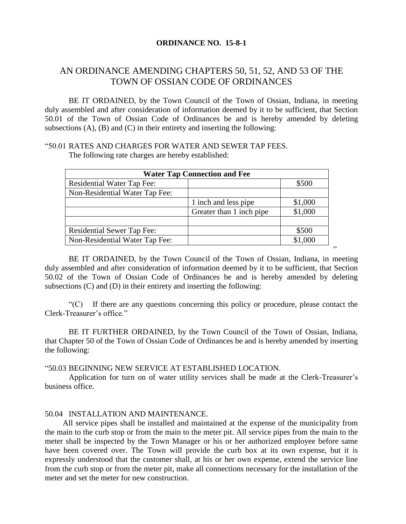#### **ORDINANCE NO. 15-8-1**

# AN ORDINANCE AMENDING CHAPTERS 50, 51, 52, AND 53 OF THE TOWN OF OSSIAN CODE OF ORDINANCES

BE IT ORDAINED, by the Town Council of the Town of Ossian, Indiana, in meeting duly assembled and after consideration of information deemed by it to be sufficient, that Section 50.01 of the Town of Ossian Code of Ordinances be and is hereby amended by deleting subsections  $(A)$ ,  $(B)$  and  $(C)$  in their entirety and inserting the following:

# "50.01 RATES AND CHARGES FOR WATER AND SEWER TAP FEES.

The following rate charges are hereby established:

| <b>Water Tap Connection and Fee</b> |                          |         |  |  |  |
|-------------------------------------|--------------------------|---------|--|--|--|
| <b>Residential Water Tap Fee:</b>   |                          | \$500   |  |  |  |
| Non-Residential Water Tap Fee:      |                          |         |  |  |  |
|                                     | 1 inch and less pipe     | \$1,000 |  |  |  |
|                                     | Greater than 1 inch pipe | \$1,000 |  |  |  |
|                                     |                          |         |  |  |  |
| <b>Residential Sewer Tap Fee:</b>   |                          | \$500   |  |  |  |
| Non-Residential Water Tap Fee:      |                          | \$1,000 |  |  |  |

BE IT ORDAINED, by the Town Council of the Town of Ossian, Indiana, in meeting duly assembled and after consideration of information deemed by it to be sufficient, that Section 50.02 of the Town of Ossian Code of Ordinances be and is hereby amended by deleting subsections (C) and (D) in their entirety and inserting the following:

."

"(C) If there are any questions concerning this policy or procedure, please contact the Clerk-Treasurer's office."

BE IT FURTHER ORDAINED, by the Town Council of the Town of Ossian, Indiana, that Chapter 50 of the Town of Ossian Code of Ordinances be and is hereby amended by inserting the following:

#### "50.03 BEGINNING NEW SERVICE AT ESTABLISHED LOCATION.

Application for turn on of water utility services shall be made at the Clerk-Treasurer's business office.

#### 50.04 INSTALLATION AND MAINTENANCE.

All service pipes shall be installed and maintained at the expense of the municipality from the main to the curb stop or from the main to the meter pit. All service pipes from the main to the meter shall be inspected by the Town Manager or his or her authorized employee before same have been covered over. The Town will provide the curb box at its own expense, but it is expressly understood that the customer shall, at his or her own expense, extend the service line from the curb stop or from the meter pit, make all connections necessary for the installation of the meter and set the meter for new construction.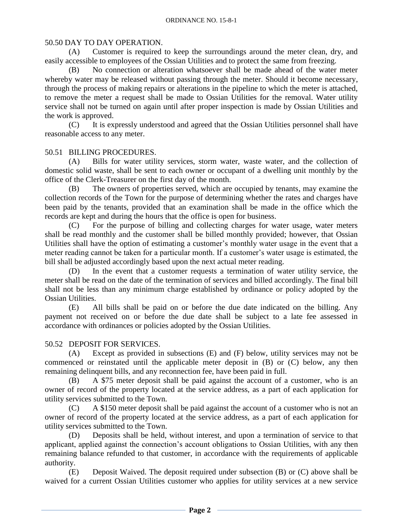#### 50.50 DAY TO DAY OPERATION.

(A) Customer is required to keep the surroundings around the meter clean, dry, and easily accessible to employees of the Ossian Utilities and to protect the same from freezing.

(B) No connection or alteration whatsoever shall be made ahead of the water meter whereby water may be released without passing through the meter. Should it become necessary, through the process of making repairs or alterations in the pipeline to which the meter is attached, to remove the meter a request shall be made to Ossian Utilities for the removal. Water utility service shall not be turned on again until after proper inspection is made by Ossian Utilities and the work is approved.

(C) It is expressly understood and agreed that the Ossian Utilities personnel shall have reasonable access to any meter.

#### 50.51 BILLING PROCEDURES.

(A) Bills for water utility services, storm water, waste water, and the collection of domestic solid waste, shall be sent to each owner or occupant of a dwelling unit monthly by the office of the Clerk-Treasurer on the first day of the month.

(B) The owners of properties served, which are occupied by tenants, may examine the collection records of the Town for the purpose of determining whether the rates and charges have been paid by the tenants, provided that an examination shall be made in the office which the records are kept and during the hours that the office is open for business.

(C) For the purpose of billing and collecting charges for water usage, water meters shall be read monthly and the customer shall be billed monthly provided; however, that Ossian Utilities shall have the option of estimating a customer's monthly water usage in the event that a meter reading cannot be taken for a particular month. If a customer's water usage is estimated, the bill shall be adjusted accordingly based upon the next actual meter reading.

(D) In the event that a customer requests a termination of water utility service, the meter shall be read on the date of the termination of services and billed accordingly. The final bill shall not be less than any minimum charge established by ordinance or policy adopted by the Ossian Utilities.

(E) All bills shall be paid on or before the due date indicated on the billing. Any payment not received on or before the due date shall be subject to a late fee assessed in accordance with ordinances or policies adopted by the Ossian Utilities.

### 50.52 DEPOSIT FOR SERVICES.

(A) Except as provided in subsections (E) and (F) below, utility services may not be commenced or reinstated until the applicable meter deposit in (B) or (C) below, any then remaining delinquent bills, and any reconnection fee, have been paid in full.

(B) A \$75 meter deposit shall be paid against the account of a customer, who is an owner of record of the property located at the service address, as a part of each application for utility services submitted to the Town.

(C) A \$150 meter deposit shall be paid against the account of a customer who is not an owner of record of the property located at the service address, as a part of each application for utility services submitted to the Town.

(D) Deposits shall be held, without interest, and upon a termination of service to that applicant, applied against the connection's account obligations to Ossian Utilities, with any then remaining balance refunded to that customer, in accordance with the requirements of applicable authority.

(E) Deposit Waived. The deposit required under subsection (B) or (C) above shall be waived for a current Ossian Utilities customer who applies for utility services at a new service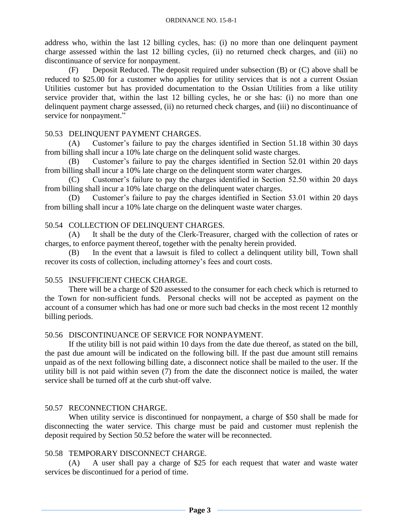address who, within the last 12 billing cycles, has: (i) no more than one delinquent payment charge assessed within the last 12 billing cycles, (ii) no returned check charges, and (iii) no discontinuance of service for nonpayment.

(F) Deposit Reduced. The deposit required under subsection (B) or (C) above shall be reduced to \$25.00 for a customer who applies for utility services that is not a current Ossian Utilities customer but has provided documentation to the Ossian Utilities from a like utility service provider that, within the last 12 billing cycles, he or she has: (i) no more than one delinquent payment charge assessed, (ii) no returned check charges, and (iii) no discontinuance of service for nonpayment."

### 50.53 DELINQUENT PAYMENT CHARGES.

(A) Customer's failure to pay the charges identified in Section 51.18 within 30 days from billing shall incur a 10% late charge on the delinquent solid waste charges.

(B) Customer's failure to pay the charges identified in Section 52.01 within 20 days from billing shall incur a 10% late charge on the delinquent storm water charges.

(C) Customer's failure to pay the charges identified in Section 52.50 within 20 days from billing shall incur a 10% late charge on the delinquent water charges.

(D) Customer's failure to pay the charges identified in Section 53.01 within 20 days from billing shall incur a 10% late charge on the delinquent waste water charges.

## 50.54 COLLECTION OF DELINQUENT CHARGES.

(A) It shall be the duty of the Clerk-Treasurer, charged with the collection of rates or charges, to enforce payment thereof, together with the penalty herein provided.

(B) In the event that a lawsuit is filed to collect a delinquent utility bill, Town shall recover its costs of collection, including attorney's fees and court costs.

### 50.55 INSUFFICIENT CHECK CHARGE.

There will be a charge of \$20 assessed to the consumer for each check which is returned to the Town for non-sufficient funds. Personal checks will not be accepted as payment on the account of a consumer which has had one or more such bad checks in the most recent 12 monthly billing periods.

### 50.56 DISCONTINUANCE OF SERVICE FOR NONPAYMENT.

If the utility bill is not paid within 10 days from the date due thereof, as stated on the bill, the past due amount will be indicated on the following bill. If the past due amount still remains unpaid as of the next following billing date, a disconnect notice shall be mailed to the user. If the utility bill is not paid within seven (7) from the date the disconnect notice is mailed, the water service shall be turned off at the curb shut-off valve.

## 50.57 RECONNECTION CHARGE.

When utility service is discontinued for nonpayment, a charge of \$50 shall be made for disconnecting the water service. This charge must be paid and customer must replenish the deposit required by Section 50.52 before the water will be reconnected.

### 50.58 TEMPORARY DISCONNECT CHARGE.

(A) A user shall pay a charge of \$25 for each request that water and waste water services be discontinued for a period of time.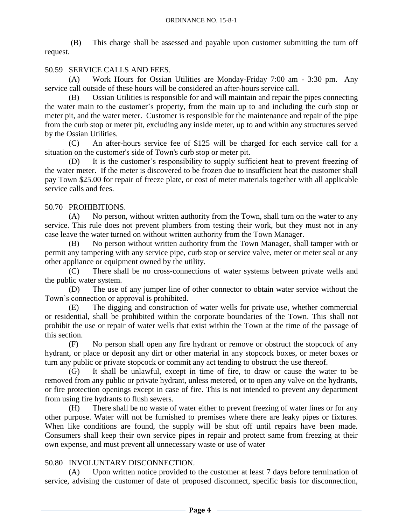(B) This charge shall be assessed and payable upon customer submitting the turn off request.

# 50.59 SERVICE CALLS AND FEES.

(A) Work Hours for Ossian Utilities are Monday-Friday 7:00 am - 3:30 pm. Any service call outside of these hours will be considered an after-hours service call.

(B) Ossian Utilities is responsible for and will maintain and repair the pipes connecting the water main to the customer's property, from the main up to and including the curb stop or meter pit, and the water meter. Customer is responsible for the maintenance and repair of the pipe from the curb stop or meter pit, excluding any inside meter, up to and within any structures served by the Ossian Utilities.

(C) An after-hours service fee of \$125 will be charged for each service call for a situation on the customer's side of Town's curb stop or meter pit.

(D) It is the customer's responsibility to supply sufficient heat to prevent freezing of the water meter. If the meter is discovered to be frozen due to insufficient heat the customer shall pay Town \$25.00 for repair of freeze plate, or cost of meter materials together with all applicable service calls and fees.

# 50.70 PROHIBITIONS.

(A) No person, without written authority from the Town, shall turn on the water to any service. This rule does not prevent plumbers from testing their work, but they must not in any case leave the water turned on without written authority from the Town Manager.

(B) No person without written authority from the Town Manager, shall tamper with or permit any tampering with any service pipe, curb stop or service valve, meter or meter seal or any other appliance or equipment owned by the utility.

(C) There shall be no cross-connections of water systems between private wells and the public water system.

(D) The use of any jumper line of other connector to obtain water service without the Town's connection or approval is prohibited.

(E) The digging and construction of water wells for private use, whether commercial or residential, shall be prohibited within the corporate boundaries of the Town. This shall not prohibit the use or repair of water wells that exist within the Town at the time of the passage of this section.

(F) No person shall open any fire hydrant or remove or obstruct the stopcock of any hydrant, or place or deposit any dirt or other material in any stopcock boxes, or meter boxes or turn any public or private stopcock or commit any act tending to obstruct the use thereof.

(G) It shall be unlawful, except in time of fire, to draw or cause the water to be removed from any public or private hydrant, unless metered, or to open any valve on the hydrants, or fire protection openings except in case of fire. This is not intended to prevent any department from using fire hydrants to flush sewers.

(H) There shall be no waste of water either to prevent freezing of water lines or for any other purpose. Water will not be furnished to premises where there are leaky pipes or fixtures. When like conditions are found, the supply will be shut off until repairs have been made. Consumers shall keep their own service pipes in repair and protect same from freezing at their own expense, and must prevent all unnecessary waste or use of water

# 50.80 INVOLUNTARY DISCONNECTION.

(A) Upon written notice provided to the customer at least 7 days before termination of service, advising the customer of date of proposed disconnect, specific basis for disconnection,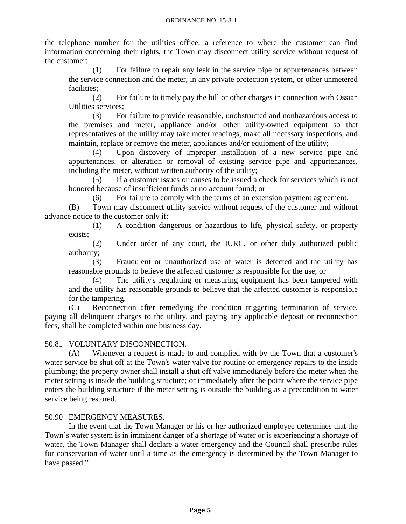the telephone number for the utilities office, a reference to where the customer can find information concerning their rights, the Town may disconnect utility service without request of the customer:

(1) For failure to repair any leak in the service pipe or appurtenances between the service connection and the meter, in any private protection system, or other unmetered facilities;

(2) For failure to timely pay the bill or other charges in connection with Ossian Utilities services;

(3) For failure to provide reasonable, unobstructed and nonhazardous access to the premises and meter, appliance and/or other utility-owned equipment so that representatives of the utility may take meter readings, make all necessary inspections, and maintain, replace or remove the meter, appliances and/or equipment of the utility;

(4) Upon discovery of improper installation of a new service pipe and appurtenances, or alteration or removal of existing service pipe and appurtenances, including the meter, without written authority of the utility;

(5) If a customer issues or causes to be issued a check for services which is not honored because of insufficient funds or no account found; or

(6) For failure to comply with the terms of an extension payment agreement.

(B) Town may disconnect utility service without request of the customer and without advance notice to the customer only if:

(1) A condition dangerous or hazardous to life, physical safety, or property exists;

(2) Under order of any court, the IURC, or other duly authorized public authority;

(3) Fraudulent or unauthorized use of water is detected and the utility has reasonable grounds to believe the affected customer is responsible for the use; or

(4) The utility's regulating or measuring equipment has been tampered with and the utility has reasonable grounds to believe that the affected customer is responsible for the tampering.

(C) Reconnection after remedying the condition triggering termination of service, paying all delinquent charges to the utility, and paying any applicable deposit or reconnection fees, shall be completed within one business day.

## 50.81 VOLUNTARY DISCONNECTION.

(A) Whenever a request is made to and complied with by the Town that a customer's water service be shut off at the Town's water valve for routine or emergency repairs to the inside plumbing; the property owner shall install a shut off valve immediately before the meter when the meter setting is inside the building structure; or immediately after the point where the service pipe enters the building structure if the meter setting is outside the building as a precondition to water service being restored.

### 50.90 EMERGENCY MEASURES.

In the event that the Town Manager or his or her authorized employee determines that the Town's water system is in imminent danger of a shortage of water or is experiencing a shortage of water, the Town Manager shall declare a water emergency and the Council shall prescribe rules for conservation of water until a time as the emergency is determined by the Town Manager to have passed."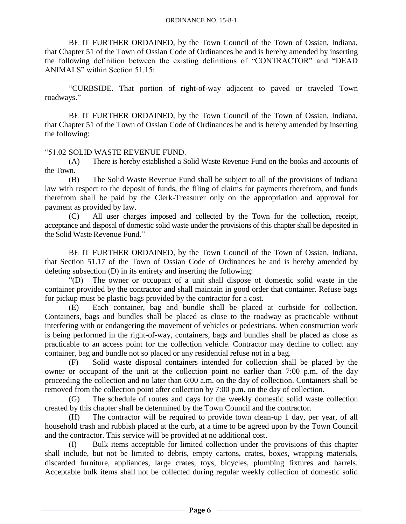BE IT FURTHER ORDAINED, by the Town Council of the Town of Ossian, Indiana, that Chapter 51 of the Town of Ossian Code of Ordinances be and is hereby amended by inserting the following definition between the existing definitions of "CONTRACTOR" and "DEAD ANIMALS" within Section 51.15:

"CURBSIDE. That portion of right-of-way adjacent to paved or traveled Town roadways."

BE IT FURTHER ORDAINED, by the Town Council of the Town of Ossian, Indiana, that Chapter 51 of the Town of Ossian Code of Ordinances be and is hereby amended by inserting the following:

"51.02 SOLID WASTE REVENUE FUND.

(A) There is hereby established a Solid Waste Revenue Fund on the books and accounts of the Town.

(B) The Solid Waste Revenue Fund shall be subject to all of the provisions of Indiana law with respect to the deposit of funds, the filing of claims for payments therefrom, and funds therefrom shall be paid by the Clerk-Treasurer only on the appropriation and approval for payment as provided by law.

(C) All user charges imposed and collected by the Town for the collection, receipt, acceptance and disposal of domestic solid waste under the provisions of this chapter shall be deposited in the Solid Waste Revenue Fund."

BE IT FURTHER ORDAINED, by the Town Council of the Town of Ossian, Indiana, that Section 51.17 of the Town of Ossian Code of Ordinances be and is hereby amended by deleting subsection (D) in its entirety and inserting the following:

"(D) The owner or occupant of a unit shall dispose of domestic solid waste in the container provided by the contractor and shall maintain in good order that container. Refuse bags for pickup must be plastic bags provided by the contractor for a cost.

(E) Each container, bag and bundle shall be placed at curbside for collection. Containers, bags and bundles shall be placed as close to the roadway as practicable without interfering with or endangering the movement of vehicles or pedestrians. When construction work is being performed in the right-of-way, containers, bags and bundles shall be placed as close as practicable to an access point for the collection vehicle. Contractor may decline to collect any container, bag and bundle not so placed or any residential refuse not in a bag.

(F) Solid waste disposal containers intended for collection shall be placed by the owner or occupant of the unit at the collection point no earlier than 7:00 p.m. of the day proceeding the collection and no later than 6:00 a.m. on the day of collection. Containers shall be removed from the collection point after collection by 7:00 p.m. on the day of collection.

(G) The schedule of routes and days for the weekly domestic solid waste collection created by this chapter shall be determined by the Town Council and the contractor.

(H) The contractor will be required to provide town clean-up 1 day, per year, of all household trash and rubbish placed at the curb, at a time to be agreed upon by the Town Council and the contractor. This service will be provided at no additional cost.

(I) Bulk items acceptable for limited collection under the provisions of this chapter shall include, but not be limited to debris, empty cartons, crates, boxes, wrapping materials, discarded furniture, appliances, large crates, toys, bicycles, plumbing fixtures and barrels. Acceptable bulk items shall not be collected during regular weekly collection of domestic solid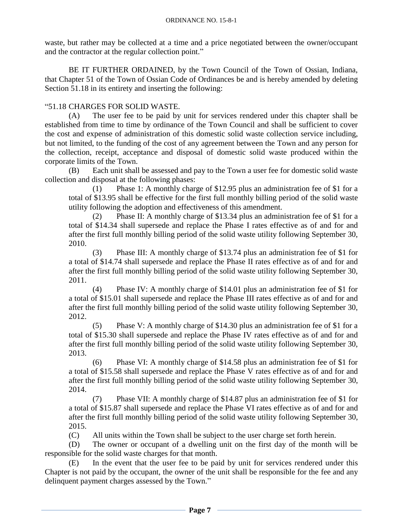waste, but rather may be collected at a time and a price negotiated between the owner/occupant and the contractor at the regular collection point."

BE IT FURTHER ORDAINED, by the Town Council of the Town of Ossian, Indiana, that Chapter 51 of the Town of Ossian Code of Ordinances be and is hereby amended by deleting Section 51.18 in its entirety and inserting the following:

### "51.18 CHARGES FOR SOLID WASTE.

(A) The user fee to be paid by unit for services rendered under this chapter shall be established from time to time by ordinance of the Town Council and shall be sufficient to cover the cost and expense of administration of this domestic solid waste collection service including, but not limited, to the funding of the cost of any agreement between the Town and any person for the collection, receipt, acceptance and disposal of domestic solid waste produced within the corporate limits of the Town.

(B) Each unit shall be assessed and pay to the Town a user fee for domestic solid waste collection and disposal at the following phases:

(1) Phase 1: A monthly charge of \$12.95 plus an administration fee of \$1 for a total of \$13.95 shall be effective for the first full monthly billing period of the solid waste utility following the adoption and effectiveness of this amendment.

(2) Phase II: A monthly charge of \$13.34 plus an administration fee of \$1 for a total of \$14.34 shall supersede and replace the Phase I rates effective as of and for and after the first full monthly billing period of the solid waste utility following September 30, 2010.

(3) Phase III: A monthly charge of \$13.74 plus an administration fee of \$1 for a total of \$14.74 shall supersede and replace the Phase II rates effective as of and for and after the first full monthly billing period of the solid waste utility following September 30, 2011.

(4) Phase IV: A monthly charge of \$14.01 plus an administration fee of \$1 for a total of \$15.01 shall supersede and replace the Phase III rates effective as of and for and after the first full monthly billing period of the solid waste utility following September 30, 2012.

(5) Phase V: A monthly charge of \$14.30 plus an administration fee of \$1 for a total of \$15.30 shall supersede and replace the Phase IV rates effective as of and for and after the first full monthly billing period of the solid waste utility following September 30, 2013.

(6) Phase VI: A monthly charge of \$14.58 plus an administration fee of \$1 for a total of \$15.58 shall supersede and replace the Phase V rates effective as of and for and after the first full monthly billing period of the solid waste utility following September 30, 2014.

(7) Phase VII: A monthly charge of \$14.87 plus an administration fee of \$1 for a total of \$15.87 shall supersede and replace the Phase VI rates effective as of and for and after the first full monthly billing period of the solid waste utility following September 30, 2015.

(C) All units within the Town shall be subject to the user charge set forth herein.

(D) The owner or occupant of a dwelling unit on the first day of the month will be responsible for the solid waste charges for that month.

(E) In the event that the user fee to be paid by unit for services rendered under this Chapter is not paid by the occupant, the owner of the unit shall be responsible for the fee and any delinquent payment charges assessed by the Town."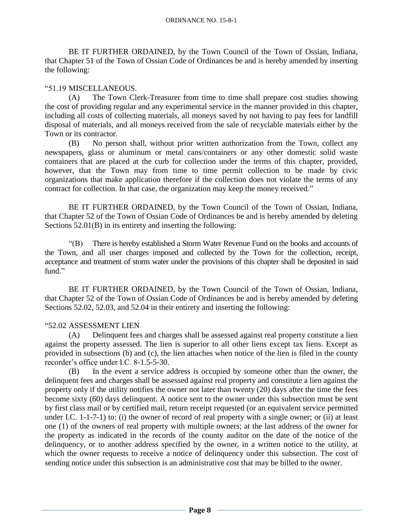BE IT FURTHER ORDAINED, by the Town Council of the Town of Ossian, Indiana, that Chapter 51 of the Town of Ossian Code of Ordinances be and is hereby amended by inserting the following:

### "51.19 MISCELLANEOUS.

(A) The Town Clerk-Treasurer from time to time shall prepare cost studies showing the cost of providing regular and any experimental service in the manner provided in this chapter, including all costs of collecting materials, all moneys saved by not having to pay fees for landfill disposal of materials, and all moneys received from the sale of recyclable materials either by the Town or its contractor.

(B) No person shall, without prior written authorization from the Town, collect any newspapers, glass or aluminum or metal cans/containers or any other domestic solid waste containers that are placed at the curb for collection under the terms of this chapter, provided, however, that the Town may from time to time permit collection to be made by civic organizations that make application therefore if the collection does not violate the terms of any contract for collection. In that case, the organization may keep the money received."

BE IT FURTHER ORDAINED, by the Town Council of the Town of Ossian, Indiana, that Chapter 52 of the Town of Ossian Code of Ordinances be and is hereby amended by deleting Sections 52.01(B) in its entirety and inserting the following:

"(B) There is hereby established a Storm Water Revenue Fund on the books and accounts of the Town, and all user charges imposed and collected by the Town for the collection, receipt, acceptance and treatment of storm water under the provisions of this chapter shall be deposited in said fund."

BE IT FURTHER ORDAINED, by the Town Council of the Town of Ossian, Indiana, that Chapter 52 of the Town of Ossian Code of Ordinances be and is hereby amended by deleting Sections 52.02, 52.03, and 52.04 in their entirety and inserting the following:

### "52.02 ASSESSMENT LIEN

(A) Delinquent fees and charges shall be assessed against real property constitute a lien against the property assessed. The lien is superior to all other liens except tax liens. Except as provided in subsections (b) and (c), the lien attaches when notice of the lien is filed in the county recorder's office under I.C. 8-1.5-5-30.

(B) In the event a service address is occupied by someone other than the owner, the delinquent fees and charges shall be assessed against real property and constitute a lien against the property only if the utility notifies the owner not later than twenty (20) days after the time the fees become sixty (60) days delinquent. A notice sent to the owner under this subsection must be sent by first class mail or by certified mail, return receipt requested (or an equivalent service permitted under I.C. 1-1-7-1) to: (i) the owner of record of real property with a single owner; or (ii) at least one (1) of the owners of real property with multiple owners; at the last address of the owner for the property as indicated in the records of the county auditor on the date of the notice of the delinquency, or to another address specified by the owner, in a written notice to the utility, at which the owner requests to receive a notice of delinquency under this subsection. The cost of sending notice under this subsection is an administrative cost that may be billed to the owner.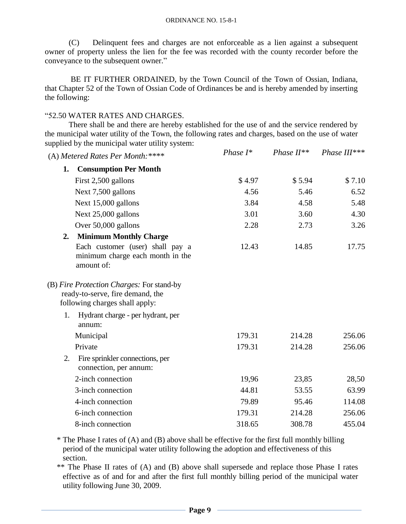(C) Delinquent fees and charges are not enforceable as a lien against a subsequent owner of property unless the lien for the fee was recorded with the county recorder before the conveyance to the subsequent owner."

BE IT FURTHER ORDAINED, by the Town Council of the Town of Ossian, Indiana, that Chapter 52 of the Town of Ossian Code of Ordinances be and is hereby amended by inserting the following:

#### "52.50 WATER RATES AND CHARGES.

There shall be and there are hereby established for the use of and the service rendered by the municipal water utility of the Town, the following rates and charges, based on the use of water supplied by the municipal water utility system:

|    | (A) Metered Rates Per Month: ****                                                                               | Phase $I^*$ | Phase $II^{**}$ | Phase III*** |
|----|-----------------------------------------------------------------------------------------------------------------|-------------|-----------------|--------------|
| 1. | <b>Consumption Per Month</b>                                                                                    |             |                 |              |
|    | First 2,500 gallons                                                                                             | \$4.97      | \$5.94          | \$7.10       |
|    | Next 7,500 gallons                                                                                              | 4.56        | 5.46            | 6.52         |
|    | Next 15,000 gallons                                                                                             | 3.84        | 4.58            | 5.48         |
|    | Next 25,000 gallons                                                                                             | 3.01        | 3.60            | 4.30         |
|    | Over 50,000 gallons                                                                                             | 2.28        | 2.73            | 3.26         |
| 2. | <b>Minimum Monthly Charge</b>                                                                                   |             |                 |              |
|    | Each customer (user) shall pay a<br>minimum charge each month in the<br>amount of:                              | 12.43       | 14.85           | 17.75        |
|    | (B) Fire Protection Charges: For stand-by<br>ready-to-serve, fire demand, the<br>following charges shall apply: |             |                 |              |
| 1. | Hydrant charge - per hydrant, per<br>annum:                                                                     |             |                 |              |
|    | Municipal                                                                                                       | 179.31      | 214.28          | 256.06       |
|    | Private                                                                                                         | 179.31      | 214.28          | 256.06       |
| 2. | Fire sprinkler connections, per<br>connection, per annum:                                                       |             |                 |              |
|    | 2-inch connection                                                                                               | 19,96       | 23,85           | 28,50        |
|    | 3-inch connection                                                                                               | 44.81       | 53.55           | 63.99        |
|    | 4-inch connection                                                                                               | 79.89       | 95.46           | 114.08       |
|    | 6-inch connection                                                                                               | 179.31      | 214.28          | 256.06       |
|    | 8-inch connection                                                                                               | 318.65      | 308.78          | 455.04       |

\* The Phase I rates of (A) and (B) above shall be effective for the first full monthly billing period of the municipal water utility following the adoption and effectiveness of this section.

\*\* The Phase II rates of (A) and (B) above shall supersede and replace those Phase I rates effective as of and for and after the first full monthly billing period of the municipal water utility following June 30, 2009.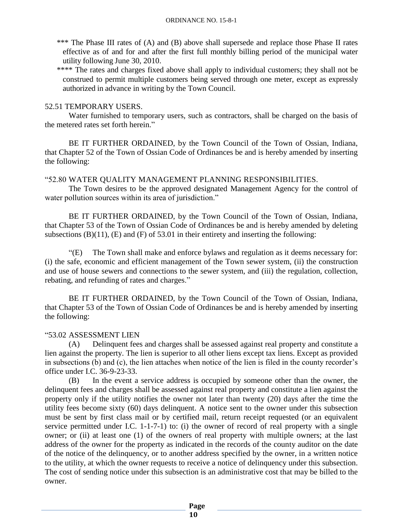- \*\*\* The Phase III rates of (A) and (B) above shall supersede and replace those Phase II rates effective as of and for and after the first full monthly billing period of the municipal water utility following June 30, 2010.
- \*\*\*\* The rates and charges fixed above shall apply to individual customers; they shall not be construed to permit multiple customers being served through one meter, except as expressly authorized in advance in writing by the Town Council.

### 52.51 TEMPORARY USERS.

Water furnished to temporary users, such as contractors, shall be charged on the basis of the metered rates set forth herein."

BE IT FURTHER ORDAINED, by the Town Council of the Town of Ossian, Indiana, that Chapter 52 of the Town of Ossian Code of Ordinances be and is hereby amended by inserting the following:

### "52.80 WATER QUALITY MANAGEMENT PLANNING RESPONSIBILITIES.

The Town desires to be the approved designated Management Agency for the control of water pollution sources within its area of jurisdiction."

BE IT FURTHER ORDAINED, by the Town Council of the Town of Ossian, Indiana, that Chapter 53 of the Town of Ossian Code of Ordinances be and is hereby amended by deleting subsections  $(B)(11)$ ,  $(E)$  and  $(F)$  of 53.01 in their entirety and inserting the following:

"(E) The Town shall make and enforce bylaws and regulation as it deems necessary for: (i) the safe, economic and efficient management of the Town sewer system, (ii) the construction and use of house sewers and connections to the sewer system, and (iii) the regulation, collection, rebating, and refunding of rates and charges."

BE IT FURTHER ORDAINED, by the Town Council of the Town of Ossian, Indiana, that Chapter 53 of the Town of Ossian Code of Ordinances be and is hereby amended by inserting the following:

## "53.02 ASSESSMENT LIEN

(A) Delinquent fees and charges shall be assessed against real property and constitute a lien against the property. The lien is superior to all other liens except tax liens. Except as provided in subsections (b) and (c), the lien attaches when notice of the lien is filed in the county recorder's office under I.C. 36-9-23-33.

(B) In the event a service address is occupied by someone other than the owner, the delinquent fees and charges shall be assessed against real property and constitute a lien against the property only if the utility notifies the owner not later than twenty (20) days after the time the utility fees become sixty (60) days delinquent. A notice sent to the owner under this subsection must be sent by first class mail or by certified mail, return receipt requested (or an equivalent service permitted under I.C. 1-1-7-1) to: (i) the owner of record of real property with a single owner; or (ii) at least one (1) of the owners of real property with multiple owners; at the last address of the owner for the property as indicated in the records of the county auditor on the date of the notice of the delinquency, or to another address specified by the owner, in a written notice to the utility, at which the owner requests to receive a notice of delinquency under this subsection. The cost of sending notice under this subsection is an administrative cost that may be billed to the owner.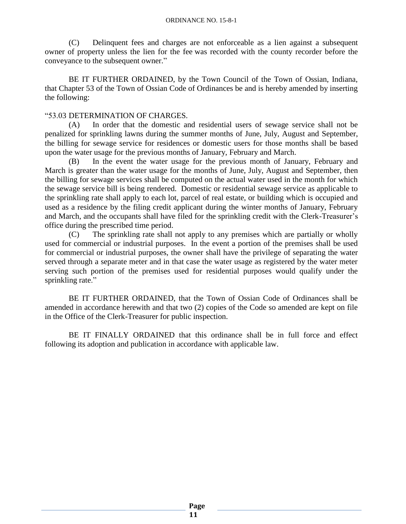(C) Delinquent fees and charges are not enforceable as a lien against a subsequent owner of property unless the lien for the fee was recorded with the county recorder before the conveyance to the subsequent owner."

BE IT FURTHER ORDAINED, by the Town Council of the Town of Ossian, Indiana, that Chapter 53 of the Town of Ossian Code of Ordinances be and is hereby amended by inserting the following:

#### "53.03 DETERMINATION OF CHARGES.

(A) In order that the domestic and residential users of sewage service shall not be penalized for sprinkling lawns during the summer months of June, July, August and September, the billing for sewage service for residences or domestic users for those months shall be based upon the water usage for the previous months of January, February and March.

(B) In the event the water usage for the previous month of January, February and March is greater than the water usage for the months of June, July, August and September, then the billing for sewage services shall be computed on the actual water used in the month for which the sewage service bill is being rendered. Domestic or residential sewage service as applicable to the sprinkling rate shall apply to each lot, parcel of real estate, or building which is occupied and used as a residence by the filing credit applicant during the winter months of January, February and March, and the occupants shall have filed for the sprinkling credit with the Clerk-Treasurer's office during the prescribed time period.

(C) The sprinkling rate shall not apply to any premises which are partially or wholly used for commercial or industrial purposes. In the event a portion of the premises shall be used for commercial or industrial purposes, the owner shall have the privilege of separating the water served through a separate meter and in that case the water usage as registered by the water meter serving such portion of the premises used for residential purposes would qualify under the sprinkling rate."

BE IT FURTHER ORDAINED, that the Town of Ossian Code of Ordinances shall be amended in accordance herewith and that two (2) copies of the Code so amended are kept on file in the Office of the Clerk-Treasurer for public inspection.

BE IT FINALLY ORDAINED that this ordinance shall be in full force and effect following its adoption and publication in accordance with applicable law.